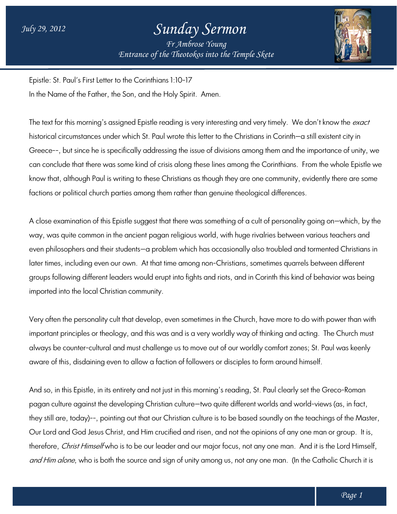## *Sunday Sermon*

*Entrance of the Theotokos Entrance of into the Temple Skete Fr Ambrose Young*



Epistle: St. Paul's First Letter to the Corinthians 1:10-17 In the Name of the Father, the Son, and the Holy Spirit. Amen.

The text for this morning's assigned Epistle reading is very interesting and very timely. We don't know the *exact* historical circumstances under which St. Paul wrote this letter to the Christians in Corinth—a still existent city in Greece--, but since he is specifically addressing the issue of divisions among them and the importance of unity, we Greece--, but since he is specifically addressing the issue of divisions among them and the importance of unity, we<br>can conclude that there was some kind of crisis along these lines among the Corinthians. From the whole Ep know that, although Paul is writing to these Christians as though they are one community, evidently there are some factions or political church parties among them rather than genuine theological differences.

A close examination of this Epistle suggest that there was something of a cult of personality going on—which, by the way, was quite common in the ancient pagan religious world, with huge rivalries between various teachers and even philosophers and their students—a problem which has occasionally also troubled and tormented Christians in later times, including even our own. At that time among non-Christians, sometimes quarrels between different groups following different leaders would erupt into fights and riots, and in Corinth this kind of behavior was being imported into the local Christian community. know that, although Paul is writing to these Christians as though they are one community, evidently there are sc<br>factions or political church parties among them rather than genuine theological differences.<br>A close examinat Christians, sometimes quarrels between different<br>riots, and in Corinth this kind of behavior was being<br>in the Church, have more to do with power than with<br>vorldly way of thinking and acting. The Church must

Very often the personality cult that develop, even sometimes in the Church, have more to do with power than with important principles or theology, and this was and is a very worldly way of thinking and acting. always be counter-cultural and must challenge us to move out of our worldly comfort zones; St. Paul was keenly aware of this, disdaining even to allow a faction of followers or disciples to form around himself. himself. important principles or theology, and this was and is a very worldly way of thinking and acting. The Church mu<br>always be counter-cultural and must challenge us to move out of our worldly comfort zones; St. Paul was keenly<br>

And so, in this Epistle, in its entirety and not just in this morning's reading, St. Paul clearly set the Greco Greco-Roman they still are, today)--, pointing out that our Christian culture is to be based soundly on the teachings of the Master, Our Lord and God Jesus Christ, and Him crucitied and risen, and not the opinions of any one man or group. It is, therefore, *Christ Himself* who is to be our leader and our major focus, not any one man. And it is the Lord Himself, therefore, *Christ Himself* who is to be our leader and our major focus, not any one man. And it is the Lord Himself<br>*and Him alone*, who is both the source and sign of unity among us, not any one man. (In the Catholic Chu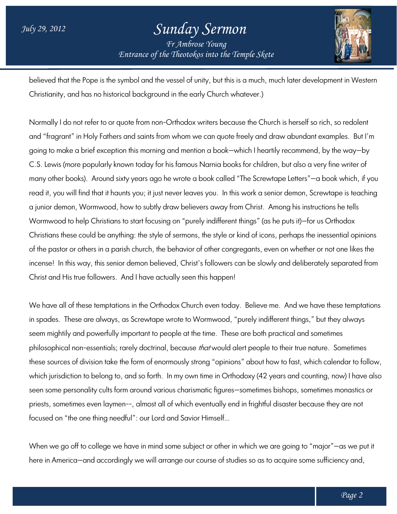## *Entrance of the Theotokos Entrance of into the Temple Skete Sunday Sermon Fr Ambrose Young*



believed that the Pope is the symbol and the vessel of unity, but this is a much, much later development in Western Christianity, and has no historical background in the early Church whatever.) believed that the Pope is the symbol and the vessel of unity, but this is a much, much later development in Weste<br>Christianity, and has no historical background in the early Church whatever.)<br>Normally I do not refer to or

Normally I do not reter to or quote trom non-Orthodox writers because the Church is herselt so rich, so redolent<br>and "fragrant" in Holy Fathers and saints from whom we can quote freely and draw abundant examples. But I'm and "tragrant" in Holy Fathers and saints trom whom we can quote treely and draw abundant examples. But I'r<br>going to make a brief exception this morning and mention a book—which I heartily recommend, by the way—by C.S. Lewis (more popularly known today for his famous Narnia books for children, but also a very fine writer of many other books). Around sixty years ago he wrote a book called "The Screwtape Letters" Letters"—a book which, if you many other books). Around sixty years ago he wrote a book called "The Screwtape Letters"—a book which, if you<br>read it, you will find that it haunts you; it just never leaves you. In this work a senior demon, Screwtape is a junior demon, Wormwood, how to subtly draw believers away from Christ. Among his instructions he tells Wormwood to help Christians to start focusing on "purely indifferent things" (as he puts it)-for us Orthodox Christians these could be anything: the style of sermons, the style or kind of icons, perhaps the inessential opinions Christians these could be anything: the style of sermons, the style or kind of icons, perhaps the inessential opinions<br>of the pastor or others in a parish church, the behavior of other congregants, even on whether or not o incense! In this way, this senior demon believed, Christ's followers can be slowly and deliberately separated from Christ and His true followers. And I have actually seen this happen! incense! In this way, this senior demon believed, Christ's followers can be slowly and deliberately separated from<br>Christ and His true followers. And I have actually seen this happen!<br>We have all of these temptations in th a senior demon, Screwtape is te<br>st. Among his instructions he tell<br>' (as he puts it)—for us Orthodox

in spades. These are always, as Screwtape wrote to Wormwood, "purely indifferent things," but they always in spades. These are always, as Screwtape wrote to Wormwood, "purely inditterent things," but they always<br>seem mightily and powerfully important to people at the time. These are both practical and sometimes philosophical non-essentials; rarely doctrinal, because *that* would alert people to their true nature. these sources of division take the form of enormously strong "opinions" about how to fast, which calendar to follow, which jurisdiction to belong to, and so forth. In my own time in Orthodoxy (42 years and counting, now) I have also these sources of division take the form of enormously strong "opinions" about how to fast, which calendar to follo<br>which jurisdiction to belong to, and so forth. In my own time in Orthodoxy (42 years and counting, now) I h priests, sometimes even laymen--, almost all of which eventually end in frightful disaster because they are not focused on "the one thing needful": our Lord and Savior Himself… priests, sometimes even laymen--, almost all ot which eventually end in trighttul disaster because they are not<br>focused on "the one thing needful": our Lord and Savior Himself…<br>When we go off to college we have in mind som he behavior of other congregants, even on whether or not one likes the<br>lieved, Christ's followers can be slowly and deliberately separated fr<br>actually seen this happen!<br>thodox Church even today. Believe me. And we have the

here in America—and accordingly we will arrange our course of studies so as to acquire some sufficiency and,